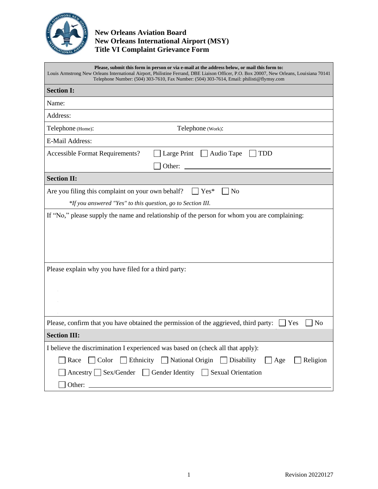

## **New Orleans Aviation Board New Orleans International Airport (MSY) Title VI Complaint Grievance Form**

| Please, submit this form in person or via e-mail at the address below, or mail this form to:<br>Louis Armstrong New Orleans International Airport, Philistine Ferrand, DBE Liaison Officer, P.O. Box 20007, New Orleans, Louisiana 70141<br>Telephone Number: (504) 303-7610, Fax Number: (504) 303-7614, Email: philisti@flymsy.com |  |  |  |  |  |  |
|--------------------------------------------------------------------------------------------------------------------------------------------------------------------------------------------------------------------------------------------------------------------------------------------------------------------------------------|--|--|--|--|--|--|
| <b>Section I:</b>                                                                                                                                                                                                                                                                                                                    |  |  |  |  |  |  |
| Name:                                                                                                                                                                                                                                                                                                                                |  |  |  |  |  |  |
| Address:                                                                                                                                                                                                                                                                                                                             |  |  |  |  |  |  |
| Telephone (Work):<br>Telephone (Home):                                                                                                                                                                                                                                                                                               |  |  |  |  |  |  |
| E-Mail Address:                                                                                                                                                                                                                                                                                                                      |  |  |  |  |  |  |
| Large Print<br>Audio Tape<br>Accessible Format Requirements?<br><b>TDD</b>                                                                                                                                                                                                                                                           |  |  |  |  |  |  |
| Other:                                                                                                                                                                                                                                                                                                                               |  |  |  |  |  |  |
| <b>Section II:</b>                                                                                                                                                                                                                                                                                                                   |  |  |  |  |  |  |
| Are you filing this complaint on your own behalf?<br>Yes*<br>N <sub>o</sub>                                                                                                                                                                                                                                                          |  |  |  |  |  |  |
| *If you answered "Yes" to this question, go to Section III.                                                                                                                                                                                                                                                                          |  |  |  |  |  |  |
| If "No," please supply the name and relationship of the person for whom you are complaining:                                                                                                                                                                                                                                         |  |  |  |  |  |  |
| Please explain why you have filed for a third party:                                                                                                                                                                                                                                                                                 |  |  |  |  |  |  |
| Please, confirm that you have obtained the permission of the aggrieved, third party:<br>N <sub>o</sub><br>Yes                                                                                                                                                                                                                        |  |  |  |  |  |  |
| <b>Section III:</b>                                                                                                                                                                                                                                                                                                                  |  |  |  |  |  |  |
| I believe the discrimination I experienced was based on (check all that apply):                                                                                                                                                                                                                                                      |  |  |  |  |  |  |
| Color Ethnicity National Origin Disability<br>Religion<br>Race<br>$\Box$ Age                                                                                                                                                                                                                                                         |  |  |  |  |  |  |
| Ancestry Sex/Gender Gender Identity Sexual Orientation                                                                                                                                                                                                                                                                               |  |  |  |  |  |  |
|                                                                                                                                                                                                                                                                                                                                      |  |  |  |  |  |  |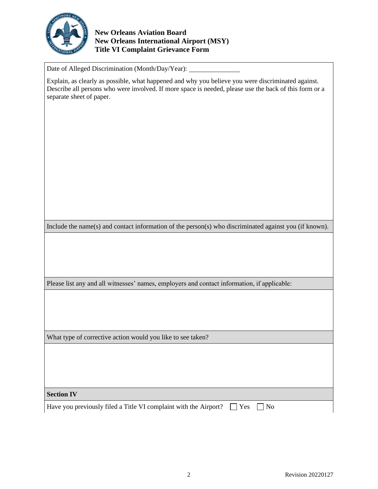

## **New Orleans Aviation Board New Orleans International Airport (MSY) Title VI Complaint Grievance Form**

Date of Alleged Discrimination (Month/Day/Year):

Explain, as clearly as possible, what happened and why you believe you were discriminated against. Describe all persons who were involved. If more space is needed, please use the back of this form or a separate sheet of paper.

Include the name(s) and contact information of the person(s) who discriminated against you (if known).

Please list any and all witnesses' names, employers and contact information, if applicable:

What type of corrective action would you like to see taken?

**Section IV**

Have you previously filed a Title VI complaint with the Airport?  $\Box$  Yes  $\Box$  No